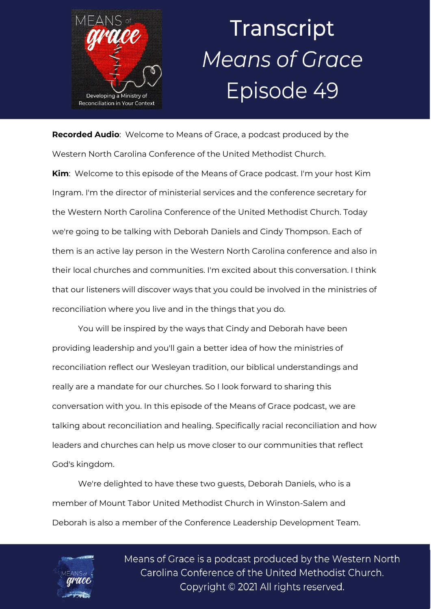

## Transcript **Means of Grace** Episode 49

**Recorded Audio**: Welcome to Means of Grace, a podcast produced by the Western North Carolina Conference of the United Methodist Church. **Kim**: Welcome to this episode of the Means of Grace podcast. I'm your host Kim Ingram. I'm the director of ministerial services and the conference secretary for the Western North Carolina Conference of the United Methodist Church. Today we're going to be talking with Deborah Daniels and Cindy Thompson. Each of them is an active lay person in the Western North Carolina conference and also in their local churches and communities. I'm excited about this conversation. I think that our listeners will discover ways that you could be involved in the ministries of reconciliation where you live and in the things that you do.

You will be inspired by the ways that Cindy and Deborah have been providing leadership and you'll gain a better idea of how the ministries of reconciliation reflect our Wesleyan tradition, our biblical understandings and really are a mandate for our churches. So I look forward to sharing this conversation with you. In this episode of the Means of Grace podcast, we are talking about reconciliation and healing. Specifically racial reconciliation and how leaders and churches can help us move closer to our communities that reflect God's kingdom.

We're delighted to have these two guests, Deborah Daniels, who is a member of Mount Tabor United Methodist Church in Winston-Salem and Deborah is also a member of the Conference Leadership Development Team.

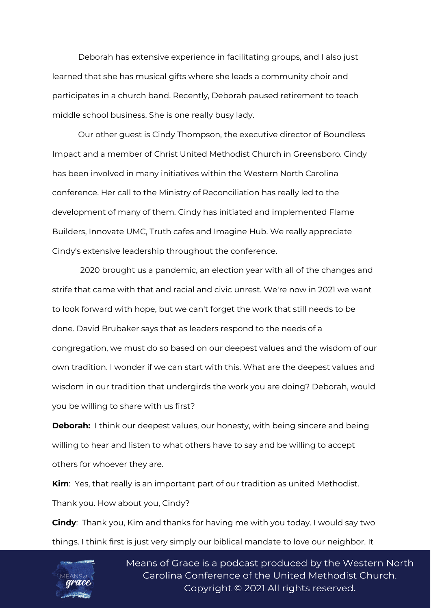Deborah has extensive experience in facilitating groups, and I also just learned that she has musical gifts where she leads a community choir and participates in a church band. Recently, Deborah paused retirement to teach middle school business. She is one really busy lady.

Our other guest is Cindy Thompson, the executive director of Boundless Impact and a member of Christ United Methodist Church in Greensboro. Cindy has been involved in many initiatives within the Western North Carolina conference. Her call to the Ministry of Reconciliation has really led to the development of many of them. Cindy has initiated and implemented Flame Builders, Innovate UMC, Truth cafes and Imagine Hub. We really appreciate Cindy's extensive leadership throughout the conference.

2020 brought us a pandemic, an election year with all of the changes and strife that came with that and racial and civic unrest. We're now in 2021 we want to look forward with hope, but we can't forget the work that still needs to be done. David Brubaker says that as leaders respond to the needs of a congregation, we must do so based on our deepest values and the wisdom of our own tradition. I wonder if we can start with this. What are the deepest values and wisdom in our tradition that undergirds the work you are doing? Deborah, would you be willing to share with us first?

**Deborah:** I think our deepest values, our honesty, with being sincere and being willing to hear and listen to what others have to say and be willing to accept others for whoever they are.

**Kim**: Yes, that really is an important part of our tradition as united Methodist. Thank you. How about you, Cindy?

**Cindy**: Thank you, Kim and thanks for having me with you today. I would say two things. I think first is just very simply our biblical mandate to love our neighbor. It

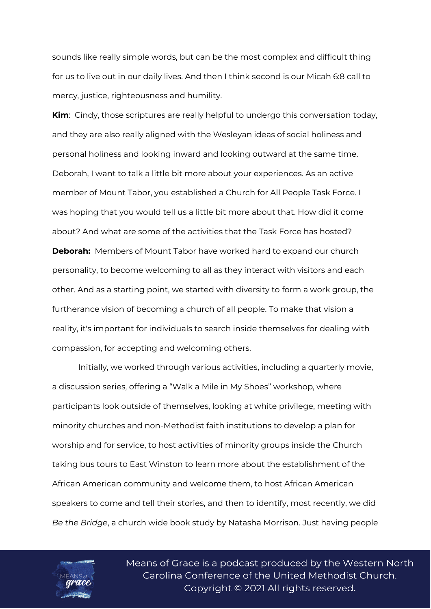sounds like really simple words, but can be the most complex and difficult thing for us to live out in our daily lives. And then I think second is our Micah 6:8 call to mercy, justice, righteousness and humility.

**Kim**: Cindy, those scriptures are really helpful to undergo this conversation today, and they are also really aligned with the Wesleyan ideas of social holiness and personal holiness and looking inward and looking outward at the same time. Deborah, I want to talk a little bit more about your experiences. As an active member of Mount Tabor, you established a Church for All People Task Force. I was hoping that you would tell us a little bit more about that. How did it come about? And what are some of the activities that the Task Force has hosted? **Deborah:** Members of Mount Tabor have worked hard to expand our church personality, to become welcoming to all as they interact with visitors and each other. And as a starting point, we started with diversity to form a work group, the furtherance vision of becoming a church of all people. To make that vision a reality, it's important for individuals to search inside themselves for dealing with compassion, for accepting and welcoming others.

Initially, we worked through various activities, including a quarterly movie, a discussion series, offering a "Walk a Mile in My Shoes" workshop, where participants look outside of themselves, looking at white privilege, meeting with minority churches and non-Methodist faith institutions to develop a plan for worship and for service, to host activities of minority groups inside the Church taking bus tours to East Winston to learn more about the establishment of the African American community and welcome them, to host African American speakers to come and tell their stories, and then to identify, most recently, we did *Be the Bridge*, a church wide book study by Natasha Morrison. Just having people

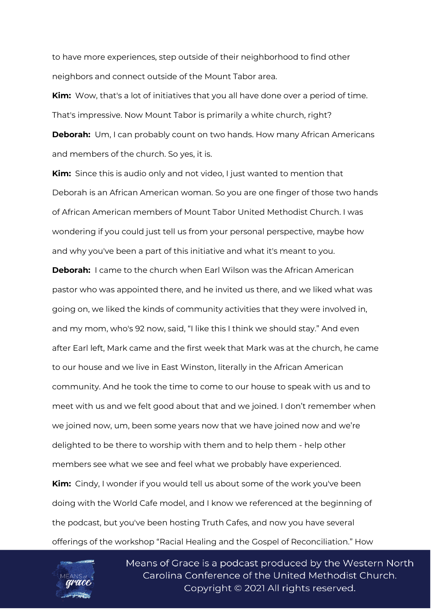to have more experiences, step outside of their neighborhood to find other neighbors and connect outside of the Mount Tabor area.

**Kim:** Wow, that's a lot of initiatives that you all have done over a period of time. That's impressive. Now Mount Tabor is primarily a white church, right?

**Deborah:** Um, I can probably count on two hands. How many African Americans and members of the church. So yes, it is.

**Kim:** Since this is audio only and not video, I just wanted to mention that Deborah is an African American woman. So you are one finger of those two hands of African American members of Mount Tabor United Methodist Church. I was wondering if you could just tell us from your personal perspective, maybe how and why you've been a part of this initiative and what it's meant to you.

**Deborah:** I came to the church when Earl Wilson was the African American pastor who was appointed there, and he invited us there, and we liked what was going on, we liked the kinds of community activities that they were involved in, and my mom, who's 92 now, said, "I like this I think we should stay." And even after Earl left, Mark came and the first week that Mark was at the church, he came to our house and we live in East Winston, literally in the African American community. And he took the time to come to our house to speak with us and to meet with us and we felt good about that and we joined. I don't remember when we joined now, um, been some years now that we have joined now and we're delighted to be there to worship with them and to help them - help other members see what we see and feel what we probably have experienced. **Kim:** Cindy, I wonder if you would tell us about some of the work you've been doing with the World Cafe model, and I know we referenced at the beginning of the podcast, but you've been hosting Truth Cafes, and now you have several offerings of the workshop "Racial Healing and the Gospel of Reconciliation." How

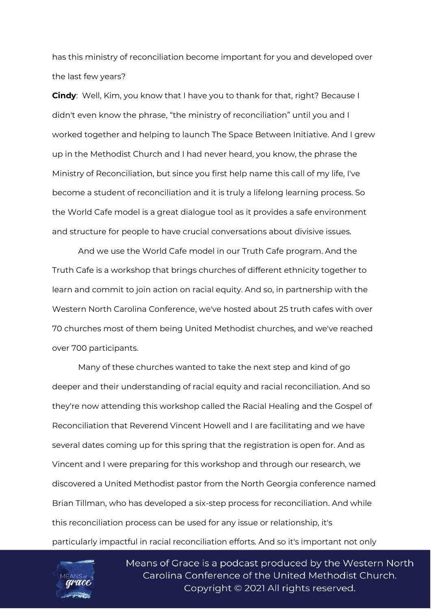has this ministry of reconciliation become important for you and developed over the last few years?

**Cindy**: Well, Kim, you know that I have you to thank for that, right? Because I didn't even know the phrase, "the ministry of reconciliation" until you and I worked together and helping to launch The Space Between Initiative. And I grew up in the Methodist Church and I had never heard, you know, the phrase the Ministry of Reconciliation, but since you first help name this call of my life, I've become a student of reconciliation and it is truly a lifelong learning process. So the World Cafe model is a great dialogue tool as it provides a safe environment and structure for people to have crucial conversations about divisive issues.

And we use the World Cafe model in our Truth Cafe program. And the Truth Cafe is a workshop that brings churches of different ethnicity together to learn and commit to join action on racial equity. And so, in partnership with the Western North Carolina Conference, we've hosted about 25 truth cafes with over 70 churches most of them being United Methodist churches, and we've reached over 700 participants.

Many of these churches wanted to take the next step and kind of go deeper and their understanding of racial equity and racial reconciliation. And so they're now attending this workshop called the Racial Healing and the Gospel of Reconciliation that Reverend Vincent Howell and I are facilitating and we have several dates coming up for this spring that the registration is open for. And as Vincent and I were preparing for this workshop and through our research, we discovered a United Methodist pastor from the North Georgia conference named Brian Tillman, who has developed a six-step process for reconciliation. And while this reconciliation process can be used for any issue or relationship, it's particularly impactful in racial reconciliation efforts. And so it's important not only

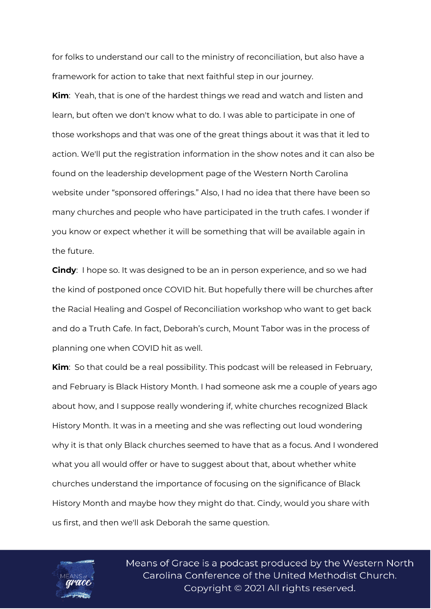for folks to understand our call to the ministry of reconciliation, but also have a framework for action to take that next faithful step in our journey.

**Kim**: Yeah, that is one of the hardest things we read and watch and listen and learn, but often we don't know what to do. I was able to participate in one of those workshops and that was one of the great things about it was that it led to action. We'll put the registration information in the show notes and it can also be found on the leadership development page of the Western North Carolina website under "sponsored offerings." Also, I had no idea that there have been so many churches and people who have participated in the truth cafes. I wonder if you know or expect whether it will be something that will be available again in the future.

**Cindy**: I hope so. It was designed to be an in person experience, and so we had the kind of postponed once COVID hit. But hopefully there will be churches after the Racial Healing and Gospel of Reconciliation workshop who want to get back and do a Truth Cafe. In fact, Deborah's curch, Mount Tabor was in the process of planning one when COVID hit as well.

**Kim**: So that could be a real possibility. This podcast will be released in February, and February is Black History Month. I had someone ask me a couple of years ago about how, and I suppose really wondering if, white churches recognized Black History Month. It was in a meeting and she was reflecting out loud wondering why it is that only Black churches seemed to have that as a focus. And I wondered what you all would offer or have to suggest about that, about whether white churches understand the importance of focusing on the significance of Black History Month and maybe how they might do that. Cindy, would you share with us first, and then we'll ask Deborah the same question.

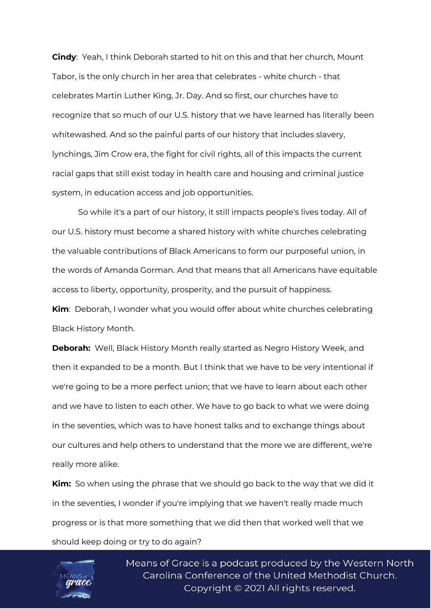**Cindy**: Yeah, I think Deborah started to hit on this and that her church, Mount Tabor, is the only church in her area that celebrates - white church - that celebrates Martin Luther King, Jr. Day. And so first, our churches have to recognize that so much of our U.S. history that we have learned has literally been whitewashed. And so the painful parts of our history that includes slavery, lynchings, Jim Crow era, the fight for civil rights, all of this impacts the current racial gaps that still exist today in health care and housing and criminal justice system, in education access and job opportunities.

So while it's a part of our history, it still impacts people's lives today. All of our U.S. history must become a shared history with white churches celebrating the valuable contributions of Black Americans to form our purposeful union, in the words of Amanda Gorman. And that means that all Americans have equitable access to liberty, opportunity, prosperity, and the pursuit of happiness.

**Kim**: Deborah, I wonder what you would offer about white churches celebrating Black History Month.

**Deborah:** Well, Black History Month really started as Negro History Week, and then it expanded to be a month. But I think that we have to be very intentional if we're going to be a more perfect union; that we have to learn about each other and we have to listen to each other. We have to go back to what we were doing in the seventies, which was to have honest talks and to exchange things about our cultures and help others to understand that the more we are different, we're really more alike.

**Kim:** So when using the phrase that we should go back to the way that we did it in the seventies, I wonder if you're implying that we haven't really made much progress or is that more something that we did then that worked well that we should keep doing or try to do again?

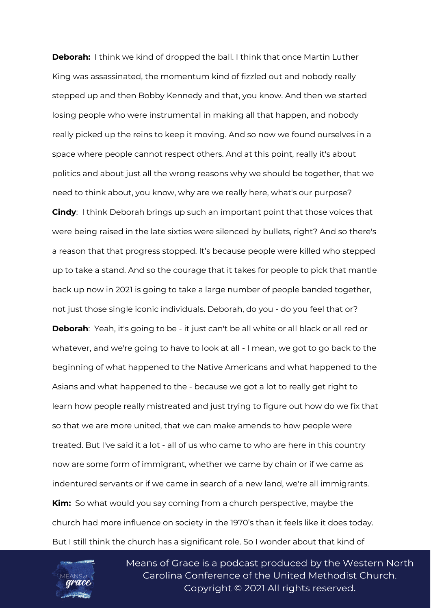**Deborah:** I think we kind of dropped the ball. I think that once Martin Luther King was assassinated, the momentum kind of fizzled out and nobody really stepped up and then Bobby Kennedy and that, you know. And then we started losing people who were instrumental in making all that happen, and nobody really picked up the reins to keep it moving. And so now we found ourselves in a space where people cannot respect others. And at this point, really it's about politics and about just all the wrong reasons why we should be together, that we need to think about, you know, why are we really here, what's our purpose? **Cindy**: I think Deborah brings up such an important point that those voices that were being raised in the late sixties were silenced by bullets, right? And so there's a reason that that progress stopped. It's because people were killed who stepped up to take a stand. And so the courage that it takes for people to pick that mantle back up now in 2021 is going to take a large number of people banded together, not just those single iconic individuals. Deborah, do you - do you feel that or? **Deborah**: Yeah, it's going to be - it just can't be all white or all black or all red or whatever, and we're going to have to look at all - I mean, we got to go back to the beginning of what happened to the Native Americans and what happened to the

Asians and what happened to the - because we got a lot to really get right to learn how people really mistreated and just trying to figure out how do we fix that so that we are more united, that we can make amends to how people were treated. But I've said it a lot - all of us who came to who are here in this country now are some form of immigrant, whether we came by chain or if we came as indentured servants or if we came in search of a new land, we're all immigrants. **Kim:** So what would you say coming from a church perspective, maybe the church had more influence on society in the 1970's than it feels like it does today. But I still think the church has a significant role. So I wonder about that kind of

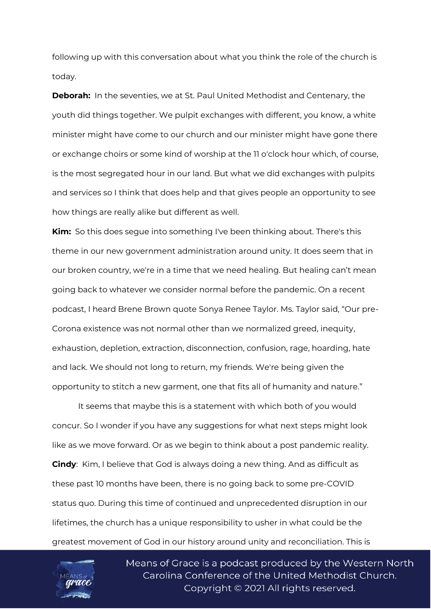following up with this conversation about what you think the role of the church is today.

**Deborah:** In the seventies, we at St. Paul United Methodist and Centenary, the youth did things together. We pulpit exchanges with different, you know, a white minister might have come to our church and our minister might have gone there or exchange choirs or some kind of worship at the 11 o'clock hour which, of course, is the most segregated hour in our land. But what we did exchanges with pulpits and services so I think that does help and that gives people an opportunity to see how things are really alike but different as well.

**Kim:** So this does segue into something I've been thinking about. There's this theme in our new government administration around unity. It does seem that in our broken country, we're in a time that we need healing. But healing can't mean going back to whatever we consider normal before the pandemic. On a recent podcast, I heard Brene Brown quote Sonya Renee Taylor. Ms. Taylor said, "Our pre-Corona existence was not normal other than we normalized greed, inequity, exhaustion, depletion, extraction, disconnection, confusion, rage, hoarding, hate and lack. We should not long to return, my friends. We're being given the opportunity to stitch a new garment, one that fits all of humanity and nature."

It seems that maybe this is a statement with which both of you would concur. So I wonder if you have any suggestions for what next steps might look like as we move forward. Or as we begin to think about a post pandemic reality. **Cindy**: Kim, I believe that God is always doing a new thing. And as difficult as these past 10 months have been, there is no going back to some pre-COVID status quo. During this time of continued and unprecedented disruption in our lifetimes, the church has a unique responsibility to usher in what could be the greatest movement of God in our history around unity and reconciliation. This is

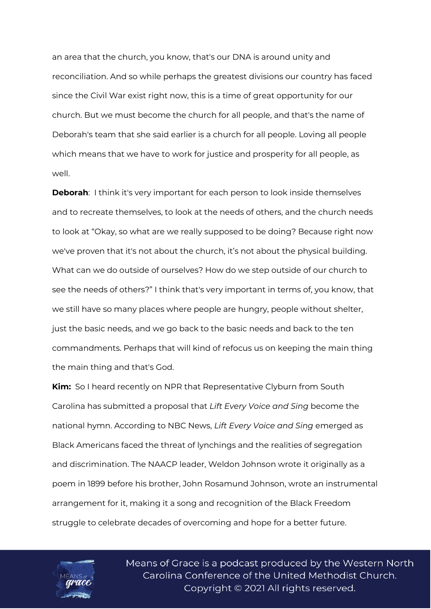an area that the church, you know, that's our DNA is around unity and reconciliation. And so while perhaps the greatest divisions our country has faced since the Civil War exist right now, this is a time of great opportunity for our church. But we must become the church for all people, and that's the name of Deborah's team that she said earlier is a church for all people. Loving all people which means that we have to work for justice and prosperity for all people, as well.

**Deborah**: I think it's very important for each person to look inside themselves and to recreate themselves, to look at the needs of others, and the church needs to look at "Okay, so what are we really supposed to be doing? Because right now we've proven that it's not about the church, it's not about the physical building. What can we do outside of ourselves? How do we step outside of our church to see the needs of others?" I think that's very important in terms of, you know, that we still have so many places where people are hungry, people without shelter, just the basic needs, and we go back to the basic needs and back to the ten commandments. Perhaps that will kind of refocus us on keeping the main thing the main thing and that's God.

**Kim:** So I heard recently on NPR that Representative Clyburn from South Carolina has submitted a proposal that *Lift Every Voice and Sing* become the national hymn. According to NBC News, *Lift Every Voice and Sing* emerged as Black Americans faced the threat of lynchings and the realities of segregation and discrimination. The NAACP leader, Weldon Johnson wrote it originally as a poem in 1899 before his brother, John Rosamund Johnson, wrote an instrumental arrangement for it, making it a song and recognition of the Black Freedom struggle to celebrate decades of overcoming and hope for a better future.

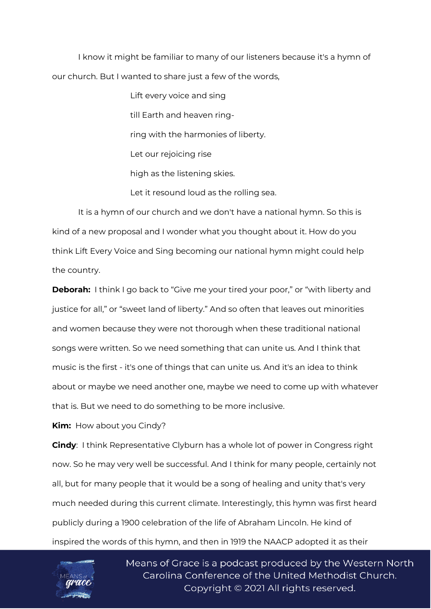I know it might be familiar to many of our listeners because it's a hymn of our church. But I wanted to share just a few of the words,

> Lift every voice and sing till Earth and heaven ringring with the harmonies of liberty. Let our rejoicing rise high as the listening skies. Let it resound loud as the rolling sea.

It is a hymn of our church and we don't have a national hymn. So this is kind of a new proposal and I wonder what you thought about it. How do you think Lift Every Voice and Sing becoming our national hymn might could help the country.

**Deborah:** I think I go back to "Give me your tired your poor," or "with liberty and justice for all," or "sweet land of liberty." And so often that leaves out minorities and women because they were not thorough when these traditional national songs were written. So we need something that can unite us. And I think that music is the first - it's one of things that can unite us. And it's an idea to think about or maybe we need another one, maybe we need to come up with whatever that is. But we need to do something to be more inclusive.

**Kim:** How about you Cindy?

**Cindy**: I think Representative Clyburn has a whole lot of power in Congress right now. So he may very well be successful. And I think for many people, certainly not all, but for many people that it would be a song of healing and unity that's very much needed during this current climate. Interestingly, this hymn was first heard publicly during a 1900 celebration of the life of Abraham Lincoln. He kind of inspired the words of this hymn, and then in 1919 the NAACP adopted it as their

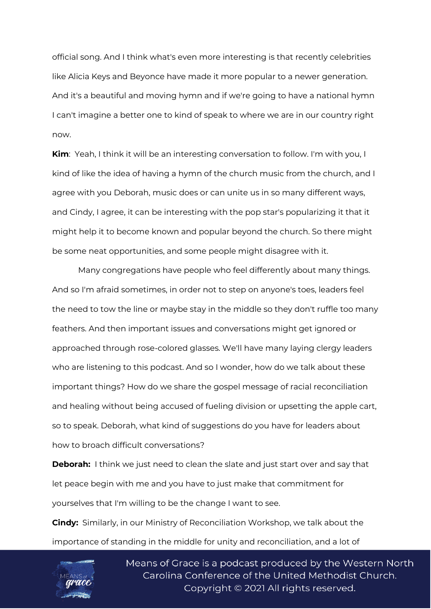official song. And I think what's even more interesting is that recently celebrities like Alicia Keys and Beyonce have made it more popular to a newer generation. And it's a beautiful and moving hymn and if we're going to have a national hymn I can't imagine a better one to kind of speak to where we are in our country right now.

**Kim**: Yeah, I think it will be an interesting conversation to follow. I'm with you, I kind of like the idea of having a hymn of the church music from the church, and I agree with you Deborah, music does or can unite us in so many different ways, and Cindy, I agree, it can be interesting with the pop star's popularizing it that it might help it to become known and popular beyond the church. So there might be some neat opportunities, and some people might disagree with it.

Many congregations have people who feel differently about many things. And so I'm afraid sometimes, in order not to step on anyone's toes, leaders feel the need to tow the line or maybe stay in the middle so they don't ruffle too many feathers. And then important issues and conversations might get ignored or approached through rose-colored glasses. We'll have many laying clergy leaders who are listening to this podcast. And so I wonder, how do we talk about these important things? How do we share the gospel message of racial reconciliation and healing without being accused of fueling division or upsetting the apple cart, so to speak. Deborah, what kind of suggestions do you have for leaders about how to broach difficult conversations?

**Deborah:** I think we just need to clean the slate and just start over and say that let peace begin with me and you have to just make that commitment for yourselves that I'm willing to be the change I want to see.

**Cindy:** Similarly, in our Ministry of Reconciliation Workshop, we talk about the importance of standing in the middle for unity and reconciliation, and a lot of

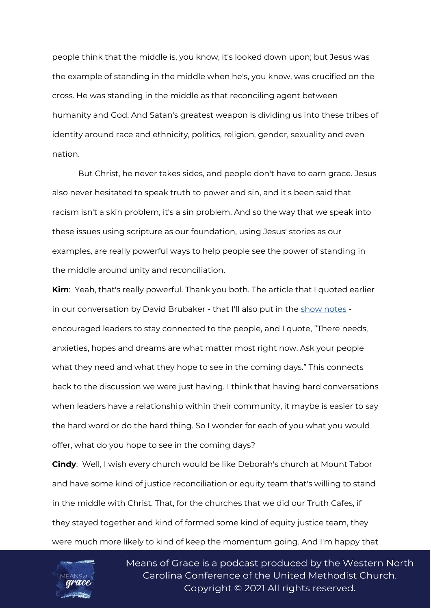people think that the middle is, you know, it's looked down upon; but Jesus was the example of standing in the middle when he's, you know, was crucified on the cross. He was standing in the middle as that reconciling agent between humanity and God. And Satan's greatest weapon is dividing us into these tribes of identity around race and ethnicity, politics, religion, gender, sexuality and even nation.

But Christ, he never takes sides, and people don't have to earn grace. Jesus also never hesitated to speak truth to power and sin, and it's been said that racism isn't a skin problem, it's a sin problem. And so the way that we speak into these issues using scripture as our foundation, using Jesus' stories as our examples, are really powerful ways to help people see the power of standing in the middle around unity and reconciliation.

**Kim**: Yeah, that's really powerful. Thank you both. The article that I quoted earlier in our conversation by David Brubaker - that I'll also put in the [show notes](https://www.wnccumc.org/means-of-grace-detail/means-of-grace-developing-a-ministry-of-reconciliation-15023534) encouraged leaders to stay connected to the people, and I quote, "There needs, anxieties, hopes and dreams are what matter most right now. Ask your people what they need and what they hope to see in the coming days." This connects back to the discussion we were just having. I think that having hard conversations when leaders have a relationship within their community, it maybe is easier to say the hard word or do the hard thing. So I wonder for each of you what you would offer, what do you hope to see in the coming days?

**Cindy**: Well, I wish every church would be like Deborah's church at Mount Tabor and have some kind of justice reconciliation or equity team that's willing to stand in the middle with Christ. That, for the churches that we did our Truth Cafes, if they stayed together and kind of formed some kind of equity justice team, they were much more likely to kind of keep the momentum going. And I'm happy that

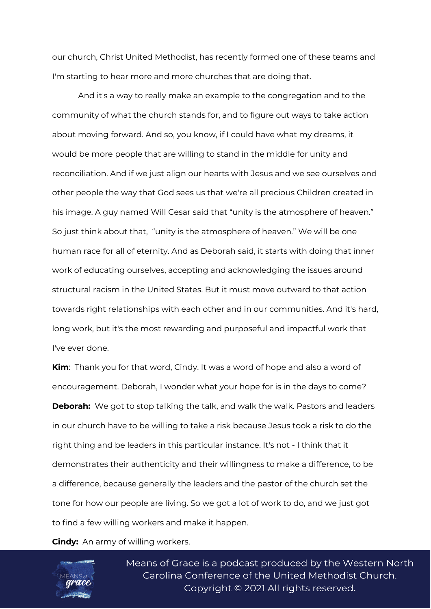our church, Christ United Methodist, has recently formed one of these teams and I'm starting to hear more and more churches that are doing that.

And it's a way to really make an example to the congregation and to the community of what the church stands for, and to figure out ways to take action about moving forward. And so, you know, if I could have what my dreams, it would be more people that are willing to stand in the middle for unity and reconciliation. And if we just align our hearts with Jesus and we see ourselves and other people the way that God sees us that we're all precious Children created in his image. A guy named Will Cesar said that "unity is the atmosphere of heaven." So just think about that, "unity is the atmosphere of heaven." We will be one human race for all of eternity. And as Deborah said, it starts with doing that inner work of educating ourselves, accepting and acknowledging the issues around structural racism in the United States. But it must move outward to that action towards right relationships with each other and in our communities. And it's hard, long work, but it's the most rewarding and purposeful and impactful work that I've ever done.

**Kim**: Thank you for that word, Cindy. It was a word of hope and also a word of encouragement. Deborah, I wonder what your hope for is in the days to come? **Deborah:** We got to stop talking the talk, and walk the walk. Pastors and leaders in our church have to be willing to take a risk because Jesus took a risk to do the right thing and be leaders in this particular instance. It's not - I think that it demonstrates their authenticity and their willingness to make a difference, to be a difference, because generally the leaders and the pastor of the church set the tone for how our people are living. So we got a lot of work to do, and we just got to find a few willing workers and make it happen.

**Cindy:** An army of willing workers.

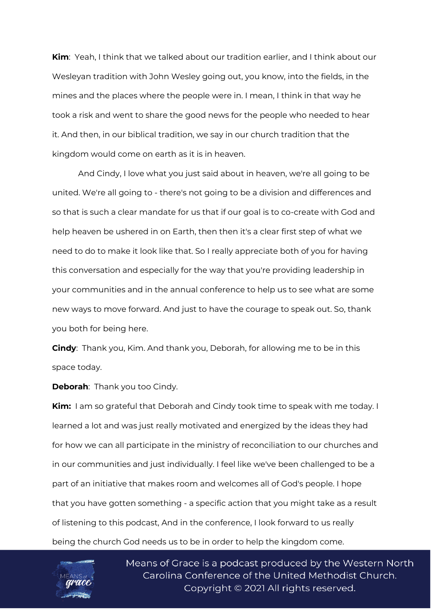**Kim**: Yeah, I think that we talked about our tradition earlier, and I think about our Wesleyan tradition with John Wesley going out, you know, into the fields, in the mines and the places where the people were in. I mean, I think in that way he took a risk and went to share the good news for the people who needed to hear it. And then, in our biblical tradition, we say in our church tradition that the kingdom would come on earth as it is in heaven.

And Cindy, I love what you just said about in heaven, we're all going to be united. We're all going to - there's not going to be a division and differences and so that is such a clear mandate for us that if our goal is to co-create with God and help heaven be ushered in on Earth, then then it's a clear first step of what we need to do to make it look like that. So I really appreciate both of you for having this conversation and especially for the way that you're providing leadership in your communities and in the annual conference to help us to see what are some new ways to move forward. And just to have the courage to speak out. So, thank you both for being here.

**Cindy**: Thank you, Kim. And thank you, Deborah, for allowing me to be in this space today.

**Deborah**: Thank you too Cindy.

**Kim:** I am so grateful that Deborah and Cindy took time to speak with me today. I learned a lot and was just really motivated and energized by the ideas they had for how we can all participate in the ministry of reconciliation to our churches and in our communities and just individually. I feel like we've been challenged to be a part of an initiative that makes room and welcomes all of God's people. I hope that you have gotten something - a specific action that you might take as a result of listening to this podcast, And in the conference, I look forward to us really being the church God needs us to be in order to help the kingdom come.